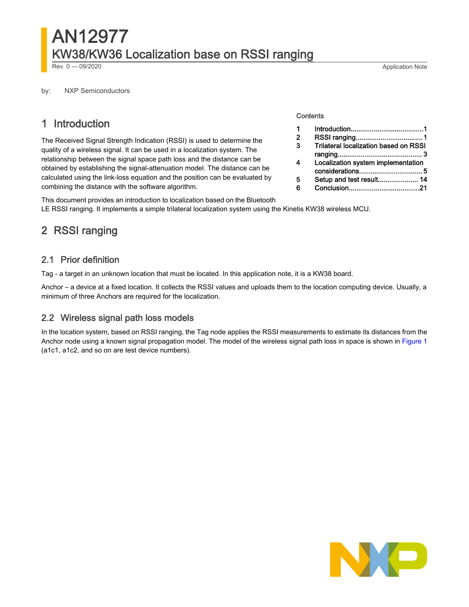# AN12977 KW38/KW36 Localization base on RSSI ranging Rev. 0 — 09/2020 Application Note

by: NXP Semiconductors

# 1 Introduction

The Received Signal Strength Indication (RSSI) is used to determine the quality of a wireless signal. It can be used in a localization system. The relationship between the signal space path loss and the distance can be obtained by establishing the signal-attenuation model. The distance can be calculated using the link-loss equation and the position can be evaluated by combining the distance with the software algorithm.

This document provides an introduction to localization based on the Bluetooth LE RSSI ranging. It implements a simple trilateral localization system using the Kinetis KW38 wireless MCU.

# 2 RSSI ranging

# 2.1 Prior definition

Tag - a target in an unknown location that must be located. In this application note, it is a KW38 board.

Anchor – a device at a fixed location. It collects the RSSI values and uploads them to the location computing device. Usually, a minimum of three Anchors are required for the localization.

# 2.2 Wireless signal path loss models

In the location system, based on RSSI ranging, the Tag node applies the RSSI measurements to estimate its distances from the Anchor node using a known signal propagation model. The model of the wireless signal path loss in space is shown in [Figure 1](#page-1-0) (a1c1, a1c2, and so on are test device numbers).

#### **Contents**

| $\overline{2}$ |                                              |
|----------------|----------------------------------------------|
| 3              | <b>Trilateral localization based on RSSI</b> |
|                |                                              |
|                | Localization system implementation           |
|                |                                              |
| 5              |                                              |
|                |                                              |

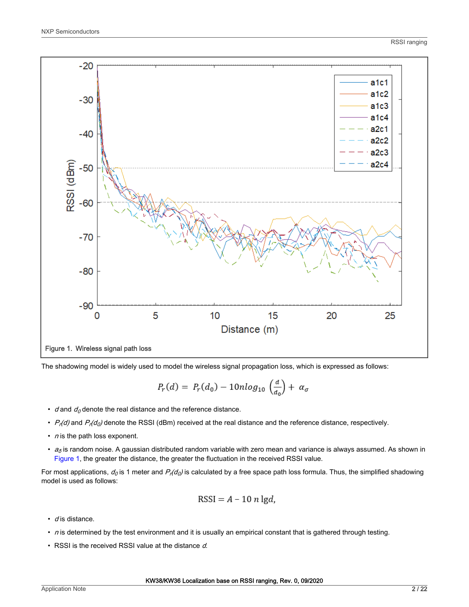<span id="page-1-0"></span>

The shadowing model is widely used to model the wireless signal propagation loss, which is expressed as follows:

$$
P_r(d) = P_r(d_0) - 10nlog_{10} \left(\frac{d}{d_0}\right) + \alpha_\sigma
$$

- $\cdot$  d and  $d_0$  denote the real distance and the reference distance.
- $P_1(d)$  and  $P_1(d_0)$  denote the RSSI (dBm) received at the real distance and the reference distance, respectively.
- $\cdot$  n is the path loss exponent.
- $a_{\delta}$  is random noise. A gaussian distributed random variable with zero mean and variance is always assumed. As shown in Figure 1, the greater the distance, the greater the fluctuation in the received RSSI value.

For most applications,  $d_0$  is 1 meter and  $P_r(d_0)$  is calculated by a free space path loss formula. Thus, the simplified shadowing model is used as follows:

$$
RSSI = A - 10 n \lg d,
$$

- $\cdot$  d is distance.
- $\cdot$  n is determined by the test environment and it is usually an empirical constant that is gathered through testing.
- RSSI is the received RSSI value at the distance d.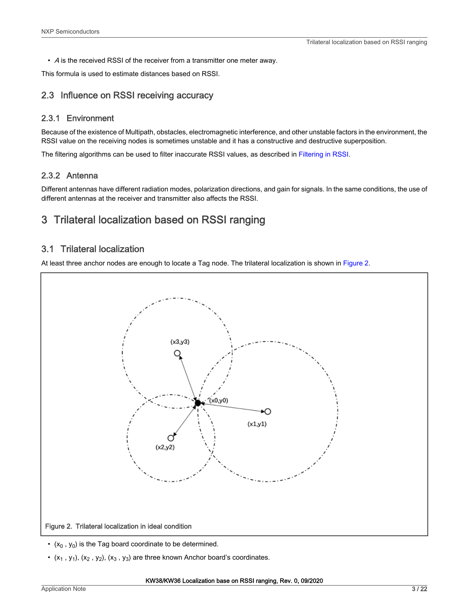<span id="page-2-0"></span>• A is the received RSSI of the receiver from a transmitter one meter away.

This formula is used to estimate distances based on RSSI.

# 2.3 Influence on RSSI receiving accuracy

#### 2.3.1 Environment

Because of the existence of Multipath, obstacles, electromagnetic interference, and other unstable factors in the environment, the RSSI value on the receiving nodes is sometimes unstable and it has a constructive and destructive superposition.

The filtering algorithms can be used to filter inaccurate RSSI values, as described in [Filtering in RSSI](#page-10-0).

# 2.3.2 Antenna

Different antennas have different radiation modes, polarization directions, and gain for signals. In the same conditions, the use of different antennas at the receiver and transmitter also affects the RSSI.

# 3 Trilateral localization based on RSSI ranging

# 3.1 Trilateral localization

At least three anchor nodes are enough to locate a Tag node. The trilateral localization is shown in Figure 2.



- $(x_0, y_0)$  is the Tag board coordinate to be determined.
- $(x_1, y_1)$ ,  $(x_2, y_2)$ ,  $(x_3, y_3)$  are three known Anchor board's coordinates.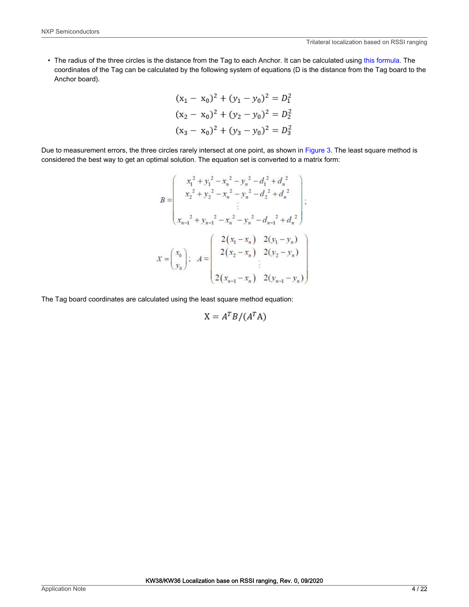• The radius of the three circles is the distance from the Tag to each Anchor. It can be calculated using [this formula.](#page-1-0) The coordinates of the Tag can be calculated by the following system of equations (D is the distance from the Tag board to the Anchor board).

$$
(x1 - x0)2 + (y1 - y0)2 = D12
$$
  

$$
(x2 - x0)2 + (y2 - y0)2 = D22
$$
  

$$
(x3 - x0)2 + (y3 - y0)2 = D32
$$

Due to measurement errors, the three circles rarely intersect at one point, as shown in [Figure 3.](#page-4-0) The least square method is considered the best way to get an optimal solution. The equation set is converted to a matrix form:

$$
B = \begin{pmatrix} x_1^2 + y_1^2 - x_n^2 - y_n^2 - d_1^2 + d_n^2 \\ x_2^2 + y_2^2 - x_n^2 - y_n^2 - d_2^2 + d_n^2 \\ \vdots \\ x_{n-1}^2 + y_{n-1}^2 - x_n^2 - y_n^2 - d_{n-1}^2 + d_n^2 \end{pmatrix};
$$
  

$$
X = \begin{pmatrix} x_0 \\ y_0 \end{pmatrix}; \quad A = \begin{pmatrix} 2(x_1 - x_n) & 2(y_1 - y_n) \\ 2(x_2 - x_n) & 2(y_2 - y_n) \\ \vdots \\ 2(x_{n-1} - x_n) & 2(y_{n-1} - y_n) \end{pmatrix}
$$

The Tag board coordinates are calculated using the least square method equation:

$$
X = A^T B / (A^T A)
$$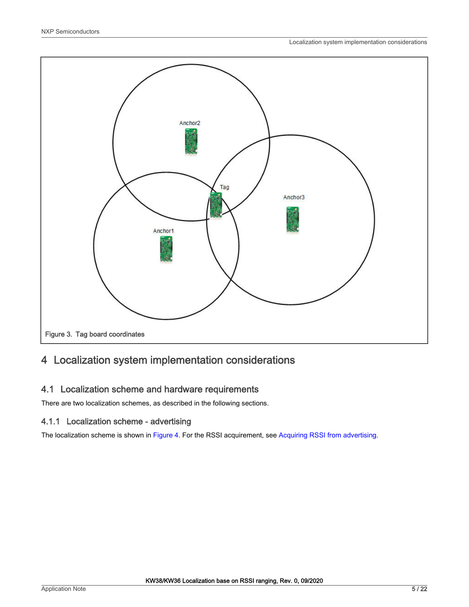<span id="page-4-0"></span>

# 4 Localization system implementation considerations

# 4.1 Localization scheme and hardware requirements

There are two localization schemes, as described in the following sections.

# 4.1.1 Localization scheme - advertising

The localization scheme is shown in [Figure 4](#page-5-0). For the RSSI acquirement, see [Acquiring RSSI from advertising.](#page-7-0)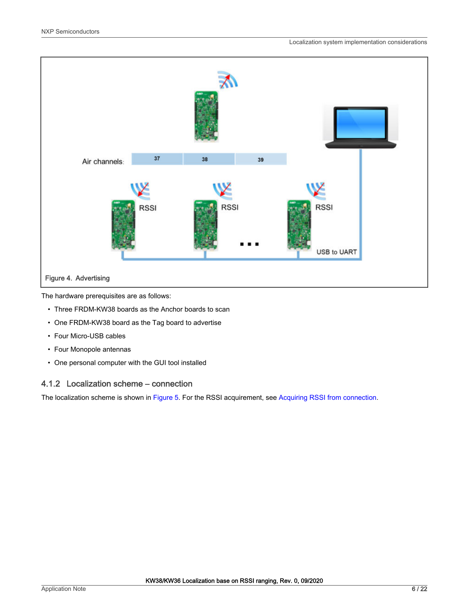<span id="page-5-0"></span>

The hardware prerequisites are as follows:

- Three FRDM-KW38 boards as the Anchor boards to scan
- One FRDM-KW38 board as the Tag board to advertise
- Four Micro-USB cables
- Four Monopole antennas
- One personal computer with the GUI tool installed

# 4.1.2 Localization scheme – connection

The localization scheme is shown in [Figure 5](#page-6-0). For the RSSI acquirement, see [Acquiring RSSI from connection.](#page-7-0)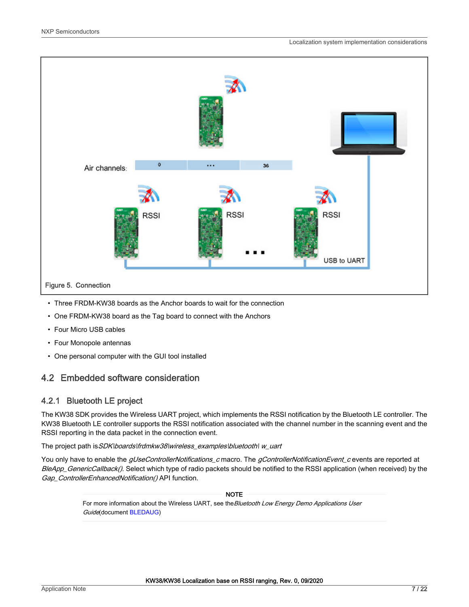<span id="page-6-0"></span>

- Three FRDM-KW38 boards as the Anchor boards to wait for the connection
- One FRDM-KW38 board as the Tag board to connect with the Anchors
- Four Micro USB cables
- Four Monopole antennas
- One personal computer with the GUI tool installed

# 4.2 Embedded software consideration

# 4.2.1 Bluetooth LE project

The KW38 SDK provides the Wireless UART project, which implements the RSSI notification by the Bluetooth LE controller. The KW38 Bluetooth LE controller supports the RSSI notification associated with the channel number in the scanning event and the RSSI reporting in the data packet in the connection event.

The project path is SDK\boards\frdmkw38\wireless\_examples\bluetooth\ w\_uart

You only have to enable the gUseControllerNotifications\_c macro. The gControllerNotificationEvent\_c events are reported at BleApp\_GenericCallback(). Select which type of radio packets should be notified to the RSSI application (when received) by the Gap\_ControllerEnhancedNotification() API function.

#### NOTE

For more information about the Wireless UART, see the Bluetooth Low Energy Demo Applications User Guide(document [BLEDAUG\)](https://www.nxp.com/doc/BLEDAUG)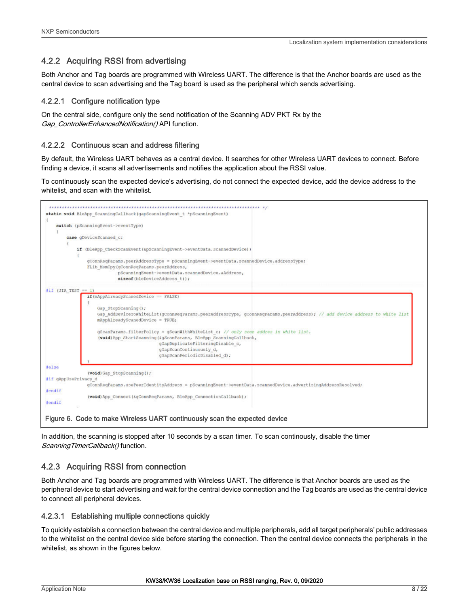# <span id="page-7-0"></span>4.2.2 Acquiring RSSI from advertising

Both Anchor and Tag boards are programmed with Wireless UART. The difference is that the Anchor boards are used as the central device to scan advertising and the Tag board is used as the peripheral which sends advertising.

#### 4.2.2.1 Configure notification type

On the central side, configure only the send notification of the Scanning ADV PKT Rx by the Gap\_ControllerEnhancedNotification() API function.

#### 4.2.2.2 Continuous scan and address filtering

By default, the Wireless UART behaves as a central device. It searches for other Wireless UART devices to connect. Before finding a device, it scans all advertisements and notifies the application about the RSSI value.

To continuously scan the expected device's advertising, do not connect the expected device, add the device address to the whitelist, and scan with the whitelist.



In addition, the scanning is stopped after 10 seconds by a scan timer. To scan continously, disable the timer Scanning TimerCallback() function.

# 4.2.3 Acquiring RSSI from connection

Both Anchor and Tag boards are programmed with Wireless UART. The difference is that Anchor boards are used as the peripheral device to start advertising and wait for the central device connection and the Tag boards are used as the central device to connect all peripheral devices.

#### 4.2.3.1 Establishing multiple connections quickly

To quickly establish a connection between the central device and multiple peripherals, add all target peripherals' public addresses to the whitelist on the central device side before starting the connection. Then the central device connects the peripherals in the whitelist, as shown in the figures below.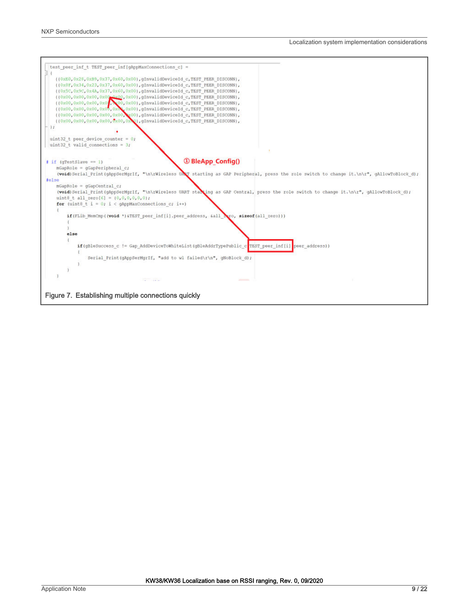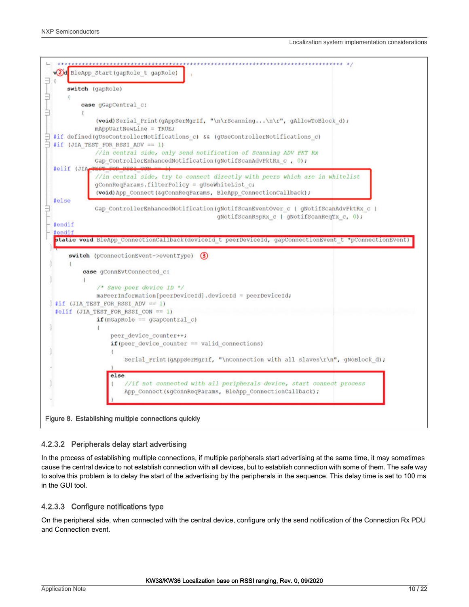

#### 4.2.3.2 Peripherals delay start advertising

In the process of establishing multiple connections, if multiple peripherals start advertising at the same time, it may sometimes cause the central device to not establish connection with all devices, but to establish connection with some of them. The safe way to solve this problem is to delay the start of the advertising by the peripherals in the sequence. This delay time is set to 100 ms in the GUI tool.

# 4.2.3.3 Configure notifications type

On the peripheral side, when connected with the central device, configure only the send notification of the Connection Rx PDU and Connection event.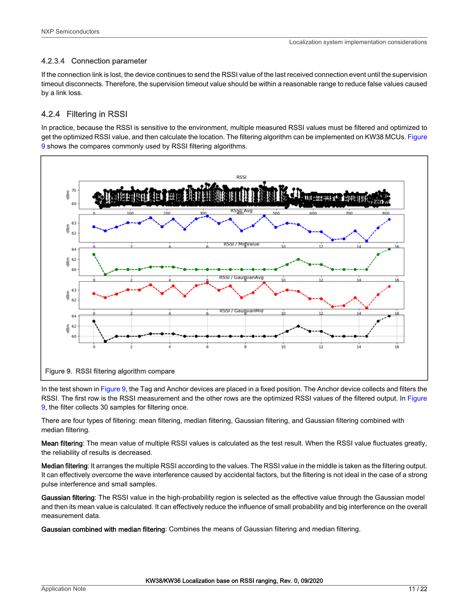# <span id="page-10-0"></span>4.2.3.4 Connection parameter

If the connection link is lost, the device continues to send the RSSI value of the last received connection event until the supervision timeout disconnects. Therefore, the supervision timeout value should be within a reasonable range to reduce false values caused by a link loss.

# 4.2.4 Filtering in RSSI

In practice, because the RSSI is sensitive to the environment, multiple measured RSSI values must be filtered and optimized to get the optimized RSSI value, and then calculate the location. The filtering algorithm can be implemented on KW38 MCUs. Figure 9 shows the compares commonly used by RSSI filtering algorithms.



In the test shown in Figure 9, the Tag and Anchor devices are placed in a fixed position. The Anchor device collects and filters the RSSI. The first row is the RSSI measurement and the other rows are the optimized RSSI values of the filtered output. In Figure 9, the filter collects 30 samples for filtering once.

There are four types of filtering: mean filtering, median filtering, Gaussian filtering, and Gaussian filtering combined with median filtering.

Mean filtering: The mean value of multiple RSSI values is calculated as the test result. When the RSSI value fluctuates greatly, the reliability of results is decreased.

Median filtering: It arranges the multiple RSSI according to the values. The RSSI value in the middle is taken as the filtering output. It can effectively overcome the wave interference caused by accidental factors, but the filtering is not ideal in the case of a strong pulse interference and small samples.

Gaussian filtering: The RSSI value in the high-probability region is selected as the effective value through the Gaussian model and then its mean value is calculated. It can effectively reduce the influence of small probability and big interference on the overall measurement data.

Gaussian combined with median filtering: Combines the means of Gaussian filtering and median filtering.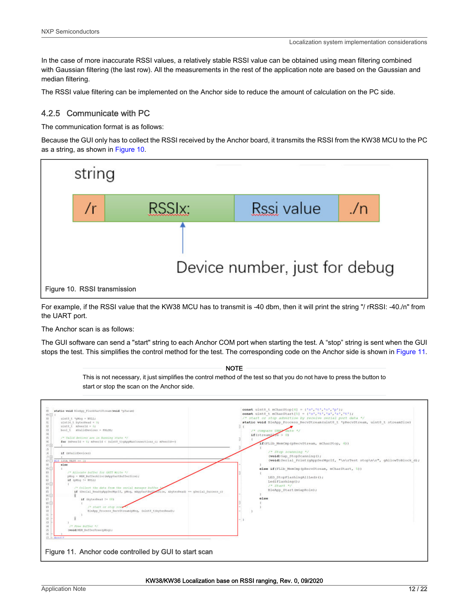In the case of more inaccurate RSSI values, a relatively stable RSSI value can be obtained using mean filtering combined with Gaussian filtering (the last row). All the measurements in the rest of the application note are based on the Gaussian and median filtering.

The RSSI value filtering can be implemented on the Anchor side to reduce the amount of calculation on the PC side.

#### 4.2.5 Communicate with PC

The communication format is as follows:

Because the GUI only has to collect the RSSI received by the Anchor board, it transmits the RSSI from the KW38 MCU to the PC as a string, as shown in Figure 10.



For example, if the RSSI value that the KW38 MCU has to transmit is -40 dbm, then it will print the string "/ rRSSI: -40./n" from the UART port.

The Anchor scan is as follows:

The GUI software can send a "start" string to each Anchor COM port when starting the test. A "stop" string is sent when the GUI stops the test. This simplifies the control method for the test. The corresponding code on the Anchor side is shown in Figure 11.

> This is not necessary, it just simplifies the control method of the test so that you do not have to press the button to start or stop the scan on the Anchor side. **NOTE**

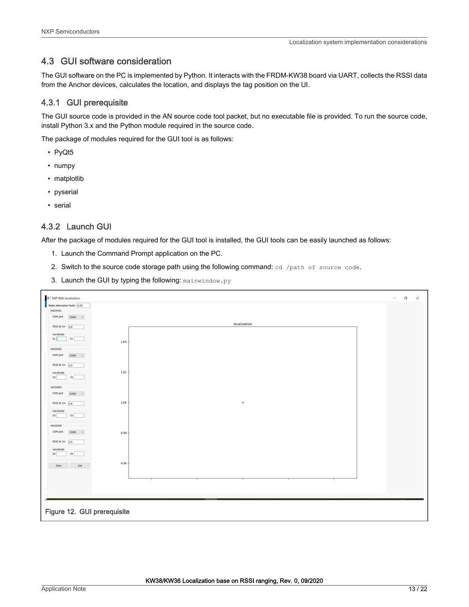# 4.3 GUI software consideration

The GUI software on the PC is implemented by Python. It interacts with the FRDM-KW38 board via UART, collects the RSSI data from the Anchor devices, calculates the location, and displays the tag position on the UI.

# 4.3.1 GUI prerequisite

The GUI source code is provided in the AN source code tool packet, but no executable file is provided. To run the source code, install Python 3.x and the Python module required in the source code.

The package of modules required for the GUI tool is as follows:

- PyQt5
- numpy
- matplotlib
- pyserial
- serial

# 4.3.2 Launch GUI

After the package of modules required for the GUI tool is installed, the GUI tools can be easily launched as follows:

- 1. Launch the Command Prompt application on the PC.
- 2. Switch to the source code storage path using the following command: cd /path of source code.
- 3. Launch the GUI by typing the following: mainwindow.py

| NOP RSSI localization                  |          |              |  | $\sim$ | $\Box$<br>× |
|----------------------------------------|----------|--------------|--|--------|-------------|
| Radio attenuation factor 3.25          |          |              |  |        |             |
| ANCHOR1                                |          |              |  |        |             |
| COM port<br>$COMB = \vee$              |          |              |  |        |             |
| RSSI at 1m 0.0                         |          | localization |  |        |             |
|                                        |          |              |  |        |             |
| coordinate<br>x1<br>Y1                 | 1.04     |              |  |        |             |
| ANCHOR2                                |          |              |  |        |             |
| COM port<br>$COMB$ $\sim$              |          |              |  |        |             |
| RSSI at 1m 0.0                         |          |              |  |        |             |
| coordinate                             | 1.02     |              |  |        |             |
| x2 <br>Y2                              |          |              |  |        |             |
| ANCHOR3                                |          |              |  |        |             |
| COM port<br>$COM3 - <$                 |          |              |  |        |             |
| RSSI at 1m p.p                         | 1.00     | ٠            |  |        |             |
| coordinate<br>x3<br>Y3                 |          |              |  |        |             |
|                                        |          |              |  |        |             |
| ANCHOR6<br>COM port<br>$CDM3 - \times$ |          |              |  |        |             |
|                                        | 0.98     |              |  |        |             |
| RSSI et 1m 0.0                         |          |              |  |        |             |
| coordinate<br>X4<br>Y4                 |          |              |  |        |             |
|                                        |          |              |  |        |             |
| Start<br><b>Ext</b>                    | $0.96 -$ |              |  |        |             |
|                                        |          |              |  |        |             |
|                                        |          |              |  |        |             |
|                                        |          |              |  |        |             |
|                                        |          |              |  |        |             |
|                                        |          |              |  |        |             |
|                                        |          |              |  |        |             |
| Figure 12. GUI prerequisite            |          |              |  |        |             |
|                                        |          |              |  |        |             |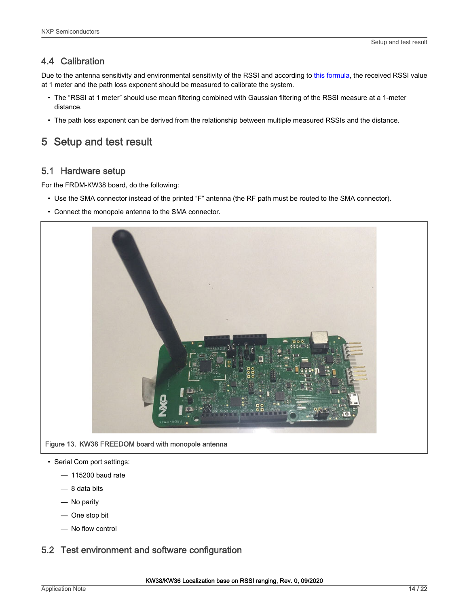# <span id="page-13-0"></span>4.4 Calibration

Due to the antenna sensitivity and environmental sensitivity of the RSSI and according to [this formula,](#page-1-0) the received RSSI value at 1 meter and the path loss exponent should be measured to calibrate the system.

- The "RSSI at 1 meter" should use mean filtering combined with Gaussian filtering of the RSSI measure at a 1-meter distance.
- The path loss exponent can be derived from the relationship between multiple measured RSSIs and the distance.

# 5 Setup and test result

# 5.1 Hardware setup

For the FRDM-KW38 board, do the following:

- Use the SMA connector instead of the printed "F" antenna (the RF path must be routed to the SMA connector).
- Connect the monopole antenna to the SMA connector.



#### Figure 13. KW38 FREEDOM board with monopole antenna

- Serial Com port settings:
	- 115200 baud rate
	- 8 data bits
	- No parity
	- One stop bit
	- No flow control

# 5.2 Test environment and software configuration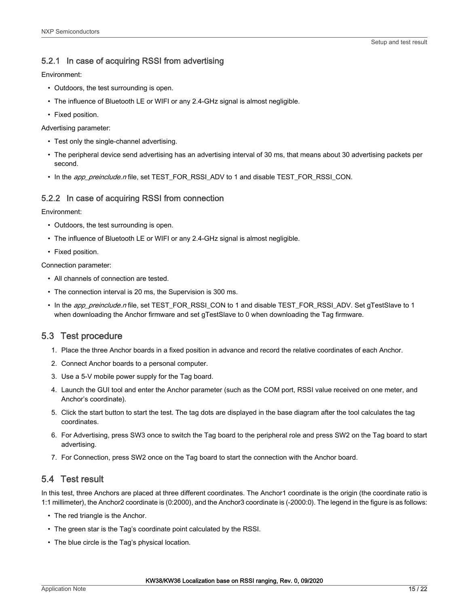# 5.2.1 In case of acquiring RSSI from advertising

Environment:

- Outdoors, the test surrounding is open.
- The influence of Bluetooth LE or WIFI or any 2.4-GHz signal is almost negligible.
- Fixed position.

Advertising parameter:

- Test only the single-channel advertising.
- The peripheral device send advertising has an advertising interval of 30 ms, that means about 30 advertising packets per second.
- In the *app\_preinclude.n* file, set TEST\_FOR\_RSSI\_ADV to 1 and disable TEST\_FOR\_RSSI\_CON.

#### 5.2.2 In case of acquiring RSSI from connection

Environment:

- Outdoors, the test surrounding is open.
- The influence of Bluetooth LE or WIFI or any 2.4-GHz signal is almost negligible.
- Fixed position.

Connection parameter:

- All channels of connection are tested.
- The connection interval is 20 ms, the Supervision is 300 ms.
- In the app\_preinclude.n file, set TEST\_FOR\_RSSI\_CON to 1 and disable TEST\_FOR\_RSSI\_ADV. Set gTestSlave to 1 when downloading the Anchor firmware and set gTestSlave to 0 when downloading the Tag firmware.

# 5.3 Test procedure

- 1. Place the three Anchor boards in a fixed position in advance and record the relative coordinates of each Anchor.
- 2. Connect Anchor boards to a personal computer.
- 3. Use a 5-V mobile power supply for the Tag board.
- 4. Launch the GUI tool and enter the Anchor parameter (such as the COM port, RSSI value received on one meter, and Anchor's coordinate).
- 5. Click the start button to start the test. The tag dots are displayed in the base diagram after the tool calculates the tag coordinates.
- 6. For Advertising, press SW3 once to switch the Tag board to the peripheral role and press SW2 on the Tag board to start advertising.
- 7. For Connection, press SW2 once on the Tag board to start the connection with the Anchor board.

# 5.4 Test result

In this test, three Anchors are placed at three different coordinates. The Anchor1 coordinate is the origin (the coordinate ratio is 1:1 millimeter), the Anchor2 coordinate is (0:2000), and the Anchor3 coordinate is (-2000:0). The legend in the figure is as follows:

- The red triangle is the Anchor.
- The green star is the Tag's coordinate point calculated by the RSSI.
- The blue circle is the Tag's physical location.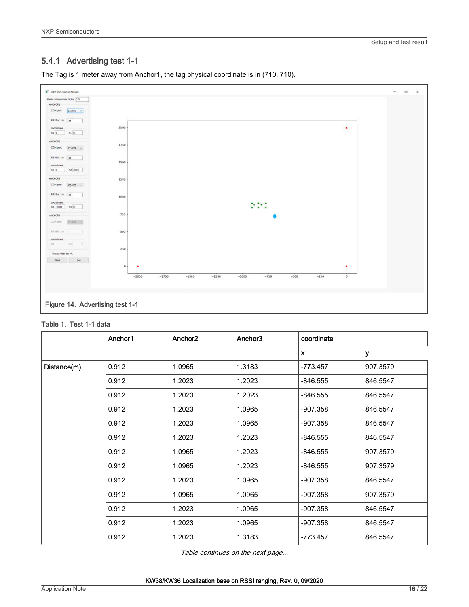# 5.4.1 Advertising test 1-1



The Tag is 1 meter away from Anchor1, the tag physical coordinate is in (710, 710).

#### Table 1. Test 1-1 data

|             | Anchor1 | Anchor2 | Anchor3 | coordinate   |          |
|-------------|---------|---------|---------|--------------|----------|
|             |         |         |         | $\mathbf{x}$ | y        |
| Distance(m) | 0.912   | 1.0965  | 1.3183  | $-773.457$   | 907.3579 |
|             | 0.912   | 1.2023  | 1.2023  | $-846.555$   | 846.5547 |
|             | 0.912   | 1.2023  | 1.2023  | $-846.555$   | 846.5547 |
|             | 0.912   | 1.2023  | 1.0965  | $-907.358$   | 846.5547 |
|             | 0.912   | 1.2023  | 1.0965  | $-907.358$   | 846.5547 |
|             | 0.912   | 1.2023  | 1.2023  | $-846.555$   | 846.5547 |
|             | 0.912   | 1.0965  | 1.2023  | $-846.555$   | 907.3579 |
|             | 0.912   | 1.0965  | 1.2023  | $-846.555$   | 907.3579 |
|             | 0.912   | 1.2023  | 1.0965  | $-907.358$   | 846.5547 |
|             | 0.912   | 1.0965  | 1.0965  | $-907.358$   | 907.3579 |
|             | 0.912   | 1.2023  | 1.0965  | $-907.358$   | 846.5547 |
|             | 0.912   | 1.2023  | 1.0965  | $-907.358$   | 846.5547 |
|             | 0.912   | 1.2023  | 1.3183  | $-773.457$   | 846.5547 |

Table continues on the next page...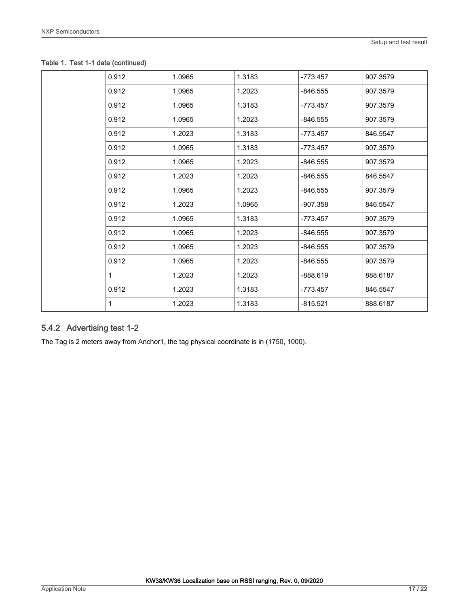| 0.912 | 1.0965 | 1.3183 | $-773.457$ | 907.3579 |
|-------|--------|--------|------------|----------|
| 0.912 | 1.0965 | 1.2023 | $-846.555$ | 907.3579 |
| 0.912 | 1.0965 | 1.3183 | $-773.457$ | 907.3579 |
| 0.912 | 1.0965 | 1.2023 | $-846.555$ | 907.3579 |
| 0.912 | 1.2023 | 1.3183 | $-773.457$ | 846.5547 |
| 0.912 | 1.0965 | 1.3183 | $-773.457$ | 907.3579 |
| 0.912 | 1.0965 | 1.2023 | -846.555   | 907.3579 |
| 0.912 | 1.2023 | 1.2023 | $-846.555$ | 846.5547 |
| 0.912 | 1.0965 | 1.2023 | -846.555   | 907.3579 |
| 0.912 | 1.2023 | 1.0965 | -907.358   | 846.5547 |
| 0.912 | 1.0965 | 1.3183 | $-773.457$ | 907.3579 |
| 0.912 | 1.0965 | 1.2023 | $-846.555$ | 907.3579 |
| 0.912 | 1.0965 | 1.2023 | -846.555   | 907.3579 |
| 0.912 | 1.0965 | 1.2023 | $-846.555$ | 907.3579 |
|       | 1.2023 | 1.2023 | -888.619   | 888.6187 |
| 0.912 | 1.2023 | 1.3183 | -773.457   | 846.5547 |
| 1     | 1.2023 | 1.3183 | $-815.521$ | 888.6187 |
|       |        |        |            |          |

# 5.4.2 Advertising test 1-2

The Tag is 2 meters away from Anchor1, the tag physical coordinate is in (1750, 1000).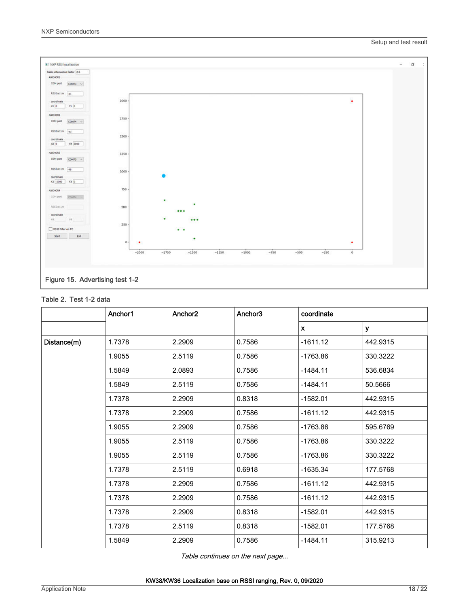

#### Table 2. Test 1-2 data

|             | Anchor1 | Anchor2 | Anchor3 | coordinate   |          |
|-------------|---------|---------|---------|--------------|----------|
|             |         |         |         | $\mathbf{x}$ | У        |
| Distance(m) | 1.7378  | 2.2909  | 0.7586  | $-1611.12$   | 442.9315 |
|             | 1.9055  | 2.5119  | 0.7586  | $-1763.86$   | 330.3222 |
|             | 1.5849  | 2.0893  | 0.7586  | $-1484.11$   | 536.6834 |
|             | 1.5849  | 2.5119  | 0.7586  | $-1484.11$   | 50.5666  |
|             | 1.7378  | 2.2909  | 0.8318  | $-1582.01$   | 442.9315 |
|             | 1.7378  | 2.2909  | 0.7586  | $-1611.12$   | 442.9315 |
|             | 1.9055  | 2.2909  | 0.7586  | $-1763.86$   | 595.6769 |
|             | 1.9055  | 2.5119  | 0.7586  | $-1763.86$   | 330.3222 |
|             | 1.9055  | 2.5119  | 0.7586  | $-1763.86$   | 330.3222 |
|             | 1.7378  | 2.5119  | 0.6918  | $-1635.34$   | 177.5768 |
|             | 1.7378  | 2.2909  | 0.7586  | $-1611.12$   | 442.9315 |
|             | 1.7378  | 2.2909  | 0.7586  | $-1611.12$   | 442.9315 |
|             | 1.7378  | 2.2909  | 0.8318  | $-1582.01$   | 442.9315 |
|             | 1.7378  | 2.5119  | 0.8318  | $-1582.01$   | 177.5768 |
|             | 1.5849  | 2.2909  | 0.7586  | $-1484.11$   | 315.9213 |

Table continues on the next page...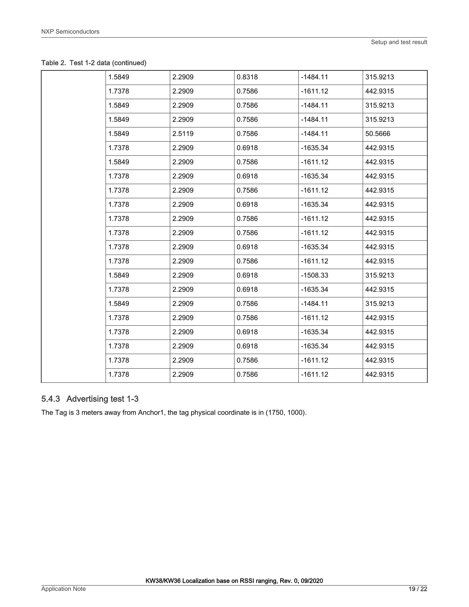Table 2. Test 1-2 data (continued)

| 1.5849 | 2.2909 | 0.8318 | $-1484.11$ | 315.9213 |
|--------|--------|--------|------------|----------|
| 1.7378 | 2.2909 | 0.7586 | $-1611.12$ | 442.9315 |
| 1.5849 | 2.2909 | 0.7586 | $-1484.11$ | 315.9213 |
| 1.5849 | 2.2909 | 0.7586 | $-1484.11$ | 315.9213 |
| 1.5849 | 2.5119 | 0.7586 | $-1484.11$ | 50.5666  |
| 1.7378 | 2.2909 | 0.6918 | $-1635.34$ | 442.9315 |
| 1.5849 | 2.2909 | 0.7586 | $-1611.12$ | 442.9315 |
| 1.7378 | 2.2909 | 0.6918 | $-1635.34$ | 442.9315 |
| 1.7378 | 2.2909 | 0.7586 | $-1611.12$ | 442.9315 |
| 1.7378 | 2.2909 | 0.6918 | $-1635.34$ | 442.9315 |
| 1.7378 | 2.2909 | 0.7586 | $-1611.12$ | 442.9315 |
| 1.7378 | 2.2909 | 0.7586 | $-1611.12$ | 442.9315 |
| 1.7378 | 2.2909 | 0.6918 | $-1635.34$ | 442.9315 |
| 1.7378 | 2.2909 | 0.7586 | $-1611.12$ | 442.9315 |
| 1.5849 | 2.2909 | 0.6918 | $-1508.33$ | 315.9213 |
| 1.7378 | 2.2909 | 0.6918 | $-1635.34$ | 442.9315 |
| 1.5849 | 2.2909 | 0.7586 | $-1484.11$ | 315.9213 |
| 1.7378 | 2.2909 | 0.7586 | $-1611.12$ | 442.9315 |
| 1.7378 | 2.2909 | 0.6918 | $-1635.34$ | 442.9315 |
| 1.7378 | 2.2909 | 0.6918 | $-1635.34$ | 442.9315 |
| 1.7378 | 2.2909 | 0.7586 | $-1611.12$ | 442.9315 |
| 1.7378 | 2.2909 | 0.7586 | $-1611.12$ | 442.9315 |

# 5.4.3 Advertising test 1-3

The Tag is 3 meters away from Anchor1, the tag physical coordinate is in (1750, 1000).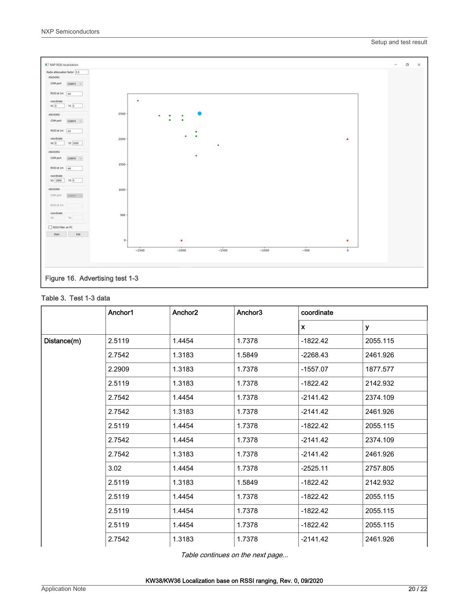

#### Table 3. Test 1-3 data

|             | Anchor1 | Anchor2 | Anchor3 | coordinate   |          |
|-------------|---------|---------|---------|--------------|----------|
|             |         |         |         | $\mathbf{x}$ | y        |
| Distance(m) | 2.5119  | 1.4454  | 1.7378  | $-1822.42$   | 2055.115 |
|             | 2.7542  | 1.3183  | 1.5849  | $-2268.43$   | 2461.926 |
|             | 2.2909  | 1.3183  | 1.7378  | $-1557.07$   | 1877.577 |
|             | 2.5119  | 1.3183  | 1.7378  | $-1822.42$   | 2142.932 |
|             | 2.7542  | 1.4454  | 1.7378  | $-2141.42$   | 2374.109 |
|             | 2.7542  | 1.3183  | 1.7378  | $-2141.42$   | 2461.926 |
|             | 2.5119  | 1.4454  | 1.7378  | $-1822.42$   | 2055.115 |
|             | 2.7542  | 1.4454  | 1.7378  | $-2141.42$   | 2374.109 |
|             | 2.7542  | 1.3183  | 1.7378  | $-2141.42$   | 2461.926 |
|             | 3.02    | 1.4454  | 1.7378  | $-2525.11$   | 2757.805 |
|             | 2.5119  | 1.3183  | 1.5849  | $-1822.42$   | 2142.932 |
|             | 2.5119  | 1.4454  | 1.7378  | $-1822.42$   | 2055.115 |
|             | 2.5119  | 1.4454  | 1.7378  | $-1822.42$   | 2055.115 |
|             | 2.5119  | 1.4454  | 1.7378  | $-1822.42$   | 2055.115 |
|             | 2.7542  | 1.3183  | 1.7378  | $-2141.42$   | 2461.926 |

Table continues on the next page...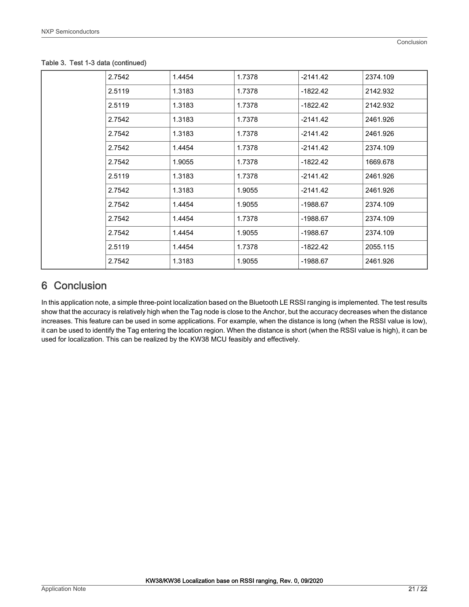| 2.7542 | 1.4454 | 1.7378 | $-2141.42$ | 2374.109 |
|--------|--------|--------|------------|----------|
| 2.5119 | 1.3183 | 1.7378 | $-1822.42$ | 2142.932 |
| 2.5119 | 1.3183 | 1.7378 | $-1822.42$ | 2142.932 |
| 2.7542 | 1.3183 | 1.7378 | $-2141.42$ | 2461.926 |
| 2.7542 | 1.3183 | 1.7378 | $-2141.42$ | 2461.926 |
| 2.7542 | 1.4454 | 1.7378 | $-2141.42$ | 2374.109 |
| 2.7542 | 1.9055 | 1.7378 | $-1822.42$ | 1669.678 |
| 2.5119 | 1.3183 | 1.7378 | $-2141.42$ | 2461.926 |
| 2.7542 | 1.3183 | 1.9055 | $-2141.42$ | 2461.926 |
| 2.7542 | 1.4454 | 1.9055 | -1988.67   | 2374.109 |
| 2.7542 | 1.4454 | 1.7378 | $-1988.67$ | 2374.109 |
| 2.7542 | 1.4454 | 1.9055 | $-1988.67$ | 2374.109 |
| 2.5119 | 1.4454 | 1.7378 | -1822.42   | 2055.115 |
| 2.7542 | 1.3183 | 1.9055 | -1988.67   | 2461.926 |

#### <span id="page-20-0"></span>Table 3. Test 1-3 data (continued)

# 6 Conclusion

In this application note, a simple three-point localization based on the Bluetooth LE RSSI ranging is implemented. The test results show that the accuracy is relatively high when the Tag node is close to the Anchor, but the accuracy decreases when the distance increases. This feature can be used in some applications. For example, when the distance is long (when the RSSI value is low), it can be used to identify the Tag entering the location region. When the distance is short (when the RSSI value is high), it can be used for localization. This can be realized by the KW38 MCU feasibly and effectively.